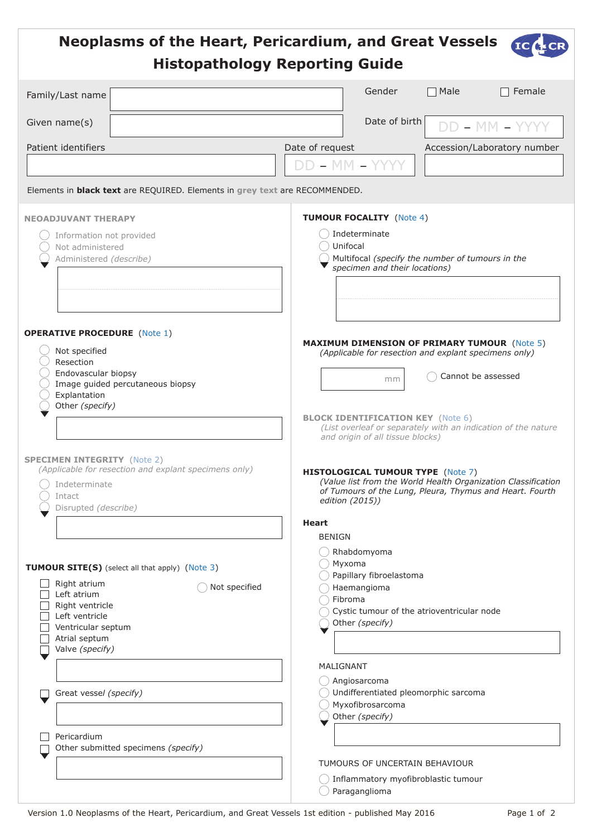<span id="page-0-0"></span>

|                                                                                                                                                                                                       | <b>Neoplasms of the Heart, Pericardium, and Great Vessels</b><br><b>Histopathology Reporting Guide</b> |                                   |                                                                                                                                                                                                                                                                                           |                  |                             |  |
|-------------------------------------------------------------------------------------------------------------------------------------------------------------------------------------------------------|--------------------------------------------------------------------------------------------------------|-----------------------------------|-------------------------------------------------------------------------------------------------------------------------------------------------------------------------------------------------------------------------------------------------------------------------------------------|------------------|-----------------------------|--|
| Family/Last name                                                                                                                                                                                      |                                                                                                        |                                   | Gender                                                                                                                                                                                                                                                                                    | $\sqsupset$ Male | Female                      |  |
| Given name(s)                                                                                                                                                                                         |                                                                                                        |                                   | Date of birth                                                                                                                                                                                                                                                                             |                  | DD - MM - YYYY              |  |
| Patient identifiers                                                                                                                                                                                   | Elements in <b>black text</b> are REQUIRED. Elements in grey text are RECOMMENDED.                     | Date of request<br>DD - MM - YYYY |                                                                                                                                                                                                                                                                                           |                  | Accession/Laboratory number |  |
| <b>NEOADJUVANT THERAPY</b><br>Information not provided<br>Not administered<br>Administered (describe)                                                                                                 |                                                                                                        |                                   | <b>TUMOUR FOCALITY (Note 4)</b><br>Indeterminate<br>Unifocal<br>Multifocal (specify the number of tumours in the<br>specimen and their locations)                                                                                                                                         |                  |                             |  |
| <b>OPERATIVE PROCEDURE</b> (Note 1)<br>Not specified<br>Resection<br>Endovascular biopsy<br>Image guided percutaneous biopsy<br>Explantation<br>Other (specify)                                       |                                                                                                        |                                   | <b>MAXIMUM DIMENSION OF PRIMARY TUMOUR (Note 5)</b><br>(Applicable for resection and explant specimens only)<br>Cannot be assessed<br>mm<br><b>BLOCK IDENTIFICATION KEY (Note 6)</b><br>(List overleaf or separately with an indication of the nature<br>and origin of all tissue blocks) |                  |                             |  |
| <b>SPECIMEN INTEGRITY (Note 2)</b><br>(Applicable for resection and explant specimens only)<br>Indeterminate<br>Intact<br>Disrupted (describe)                                                        |                                                                                                        | <b>Heart</b>                      | <b>HISTOLOGICAL TUMOUR TYPE (Note 7)</b><br>(Value list from the World Health Organization Classification<br>of Tumours of the Lung, Pleura, Thymus and Heart. Fourth<br>edition (2015))<br><b>BENIGN</b>                                                                                 |                  |                             |  |
| <b>TUMOUR SITE(S)</b> (select all that apply) (Note 3)<br>Right atrium<br>Not specified<br>Left atrium<br>Right ventricle<br>Left ventricle<br>Ventricular septum<br>Atrial septum<br>Valve (specify) |                                                                                                        |                                   | Rhabdomyoma<br>Myxoma<br>Papillary fibroelastoma<br>Haemangioma<br>Fibroma<br>Cystic tumour of the atrioventricular node<br>Other (specify)<br>MALIGNANT                                                                                                                                  |                  |                             |  |
| Great vessel (specify)<br>Pericardium                                                                                                                                                                 | Other submitted specimens (specify)                                                                    |                                   | Angiosarcoma<br>Undifferentiated pleomorphic sarcoma<br>Myxofibrosarcoma<br>Other (specify)                                                                                                                                                                                               |                  |                             |  |
|                                                                                                                                                                                                       |                                                                                                        |                                   | TUMOURS OF UNCERTAIN BEHAVIOUR<br>Inflammatory myofibroblastic tumour<br>Paraganglioma                                                                                                                                                                                                    |                  |                             |  |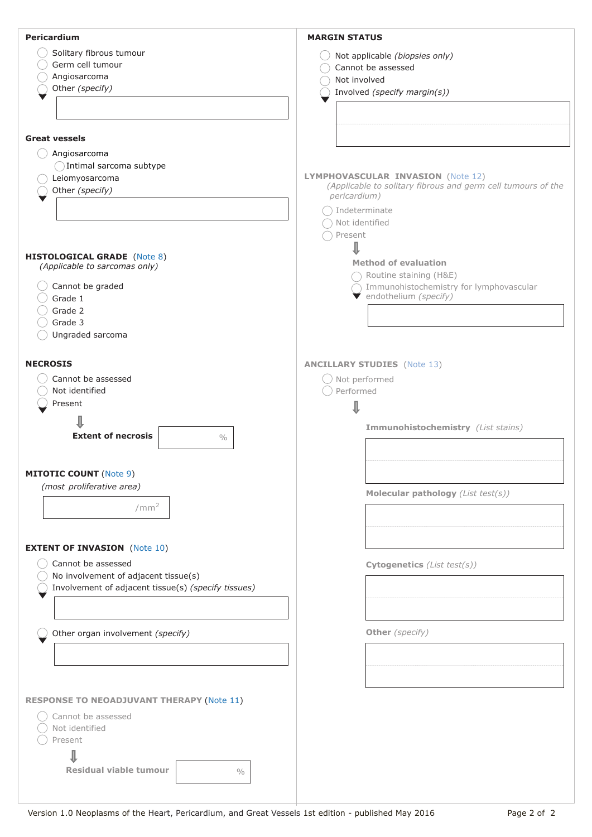<span id="page-1-0"></span>

| Pericardium                                         | <b>MARGIN STATUS</b>                                         |
|-----------------------------------------------------|--------------------------------------------------------------|
| Solitary fibrous tumour                             |                                                              |
| Germ cell tumour                                    | Not applicable (biopsies only)                               |
|                                                     | Cannot be assessed                                           |
| Angiosarcoma                                        | Not involved                                                 |
| Other (specify)                                     | Involved (specify margin(s))                                 |
|                                                     |                                                              |
|                                                     |                                                              |
|                                                     |                                                              |
| <b>Great vessels</b>                                |                                                              |
| Angiosarcoma                                        |                                                              |
|                                                     |                                                              |
| Intimal sarcoma subtype                             | LYMPHOVASCULAR INVASION (Note 12)                            |
| Leiomyosarcoma                                      | (Applicable to solitary fibrous and germ cell tumours of the |
| Other (specify)                                     | pericardium)                                                 |
|                                                     |                                                              |
|                                                     | $\bigcap$ Indeterminate                                      |
|                                                     | Not identified                                               |
|                                                     | Present                                                      |
|                                                     |                                                              |
| <b>HISTOLOGICAL GRADE</b> (Note 8)                  | <b>Method of evaluation</b>                                  |
| (Applicable to sarcomas only)                       |                                                              |
|                                                     | $\bigcap$ Routine staining (H&E)                             |
| Cannot be graded                                    | Immunohistochemistry for lymphovascular                      |
| Grade 1                                             | ▼ endothelium (specify)                                      |
| Grade 2                                             |                                                              |
| Grade 3                                             |                                                              |
| Ungraded sarcoma                                    |                                                              |
|                                                     |                                                              |
| <b>NECROSIS</b>                                     |                                                              |
|                                                     | <b>ANCILLARY STUDIES</b> (Note 13)                           |
| Cannot be assessed                                  | Not performed                                                |
| Not identified                                      | Performed                                                    |
| Present                                             |                                                              |
|                                                     |                                                              |
|                                                     | Immunohistochemistry (List stains)                           |
| <b>Extent of necrosis</b><br>$\sqrt{0}/0$           |                                                              |
|                                                     |                                                              |
|                                                     |                                                              |
| <b>MITOTIC COUNT (Note 9)</b>                       |                                                              |
| (most proliferative area)                           |                                                              |
|                                                     | Molecular pathology (List test(s))                           |
| /mm <sup>2</sup>                                    |                                                              |
|                                                     |                                                              |
|                                                     |                                                              |
| <b>EXTENT OF INVASION (Note 10)</b>                 |                                                              |
|                                                     |                                                              |
| Cannot be assessed                                  | Cytogenetics (List test(s))                                  |
| No involvement of adjacent tissue(s)                |                                                              |
| Involvement of adjacent tissue(s) (specify tissues) |                                                              |
|                                                     |                                                              |
|                                                     |                                                              |
|                                                     |                                                              |
| Other organ involvement (specify)                   | Other (specify)                                              |
|                                                     |                                                              |
|                                                     |                                                              |
|                                                     |                                                              |
|                                                     |                                                              |
| <b>RESPONSE TO NEOADJUVANT THERAPY (Note 11)</b>    |                                                              |
|                                                     |                                                              |
| Cannot be assessed                                  |                                                              |
| Not identified                                      |                                                              |
| Present                                             |                                                              |
|                                                     |                                                              |
|                                                     |                                                              |
| <b>Residual viable tumour</b><br>$\frac{0}{0}$      |                                                              |
|                                                     |                                                              |
|                                                     |                                                              |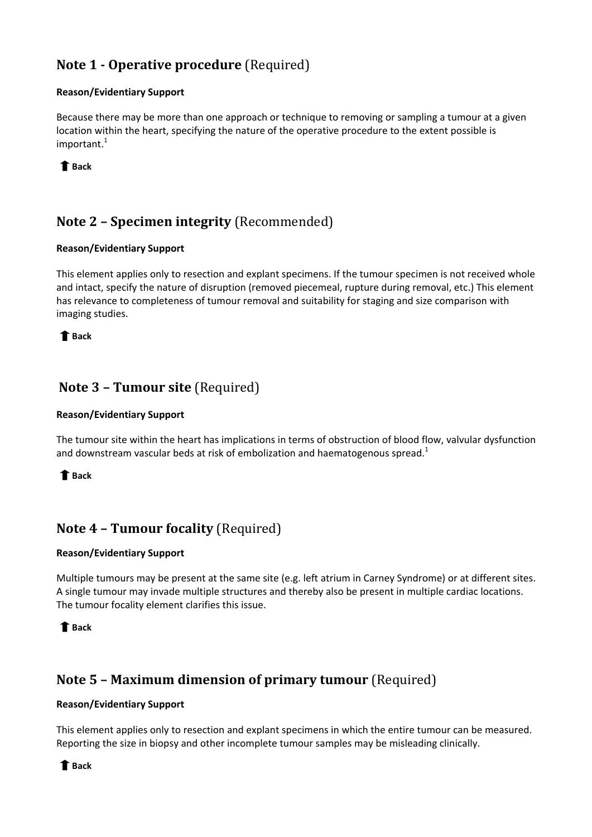# <span id="page-2-0"></span>**Note 1 - Operative procedure** (Required)

### **Reason/Evidentiary Support**

Because there may be more than one approach or technique to removing or sampling a tumour at a given location within the heart, specifying the nature of the operative procedure to the extent possible is important[.](#page-6-0) $^{1}$ 

 **[Back](#page-0-0)** 

## **Note 2 – Specimen integrity** (Recommended)

### **Reason/Evidentiary Support**

This element applies only to resection and explant specimens. If the tumour specimen is not received whole and intact, specify the nature of disruption (removed piecemeal, rupture during removal, etc.) This element has relevance to completeness of tumour removal and suitability for staging and size comparison with imaging studies.

 **[Back](#page-0-0)** 

### **Note 3 – Tumour site** (Required)

### **Reason/Evidentiary Support**

The tumour site within the heart has implications in terms of obstruction of blood flow, valvular dysfunction and downstream vascular beds at risk of embolization and haematogenous spread[.](#page-6-0)<sup>1</sup>

### **[Back](#page-0-0)**

## **Note 4 – Tumour focality** (Required)

### **Reason/Evidentiary Support**

Multiple tumours may be present at the same site (e.g. left atrium in Carney Syndrome) or at different sites. A single tumour may invade multiple structures and thereby also be present in multiple cardiac locations. The tumour focality element clarifies this issue.

### **[Back](#page-0-0)**

## **Note 5 – Maximum dimension of primary tumour** (Required)

#### **Reason/Evidentiary Support**

This element applies only to resection and explant specimens in which the entire tumour can be measured. Reporting the size in biopsy and other incomplete tumour samples may be misleading clinically.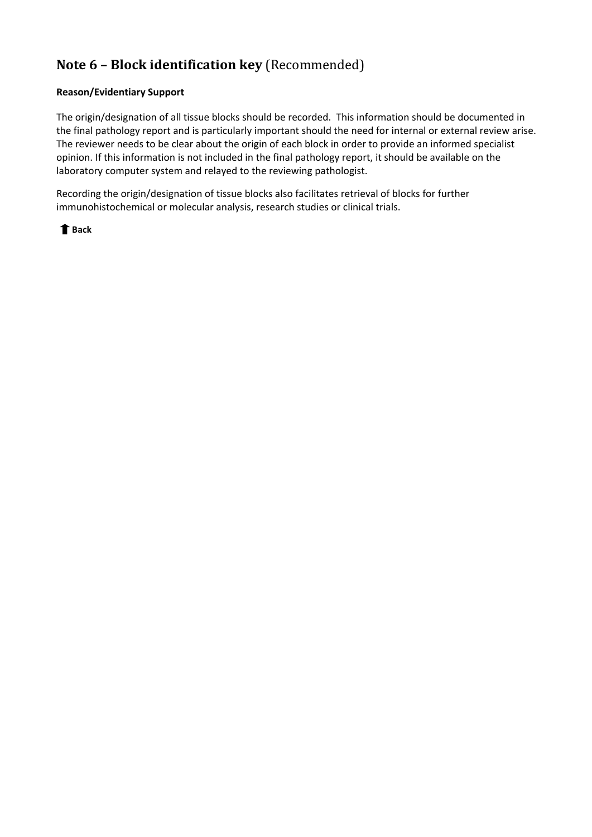### <span id="page-3-0"></span>**Note 6 – Block identification key** (Recommended)

#### **Reason/Evidentiary Support**

The origin/designation of all tissue blocks should be recorded. This information should be documented in the final pathology report and is particularly important should the need for internal or external review arise. The reviewer needs to be clear about the origin of each block in order to provide an informed specialist opinion. If this information is not included in the final pathology report, it should be available on the laboratory computer system and relayed to the reviewing pathologist.

Recording the origin/designation of tissue blocks also facilitates retrieval of blocks for further immunohistochemical or molecular analysis, research studies or clinical trials.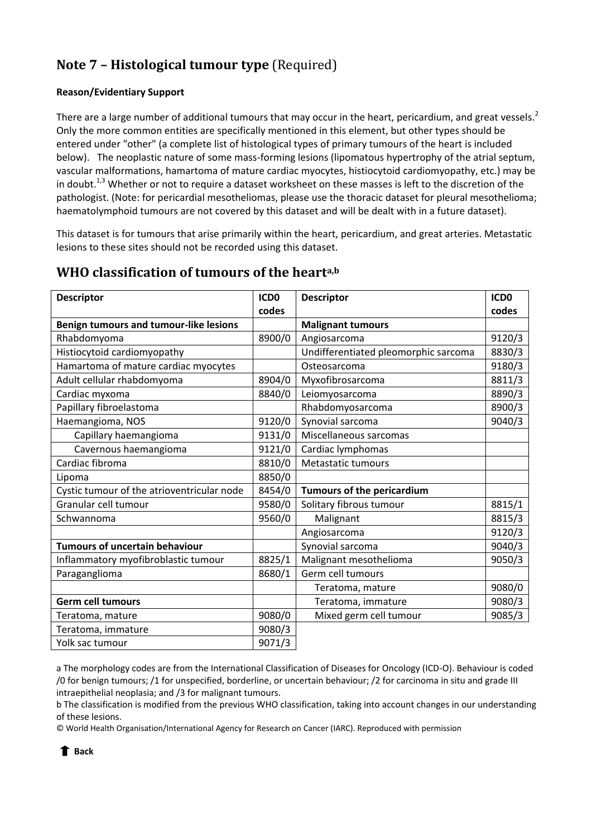# <span id="page-4-0"></span>**Note 7 – Histological tumour type** (Required)

### **Reason/Evidentiary Support**

There are a large number of additional tumours that may occur in the heart, pericardium, and great vessels.<sup>[2](#page-6-1)</sup> Only the more common entities are specifically mentioned in this element, but other types should be entered under "other" (a complete list of histological types of primary tumours of the heart is included below). The neoplastic nature of some mass-forming lesions (lipomatous hypertrophy of the atrial septum, vascular malformations, hamartoma of mature cardiac myocytes, histiocytoid cardiomyopathy, etc.) may be in doubt.<sup>[1,](#page-6-0)[3](#page-6-2)</sup> Whether or not to require a dataset worksheet on these masses is left to the discretion of the pathologist. (Note: for pericardial mesotheliomas, please use the thoracic dataset for pleural mesothelioma; haematolymphoid tumours are not covered by this dataset and will be dealt with in a future dataset).

This dataset is for tumours that arise primarily within the heart, pericardium, and great arteries. Metastatic lesions to these sites should not be recorded using this dataset.

| <b>Descriptor</b>                          | ICD <sub>0</sub><br>codes | <b>Descriptor</b>                    | ICD <sub>0</sub><br>codes |
|--------------------------------------------|---------------------------|--------------------------------------|---------------------------|
| Benign tumours and tumour-like lesions     |                           | <b>Malignant tumours</b>             |                           |
| Rhabdomyoma                                | 8900/0                    | Angiosarcoma                         | 9120/3                    |
| Histiocytoid cardiomyopathy                |                           | Undifferentiated pleomorphic sarcoma | 8830/3                    |
| Hamartoma of mature cardiac myocytes       |                           | Osteosarcoma                         | 9180/3                    |
| Adult cellular rhabdomyoma                 | 8904/0                    | Myxofibrosarcoma                     | 8811/3                    |
| Cardiac myxoma                             | 8840/0                    | Leiomyosarcoma                       | 8890/3                    |
| Papillary fibroelastoma                    |                           | Rhabdomyosarcoma                     | 8900/3                    |
| Haemangioma, NOS                           | 9120/0                    | Synovial sarcoma                     | 9040/3                    |
| Capillary haemangioma                      | 9131/0                    | Miscellaneous sarcomas               |                           |
| Cavernous haemangioma                      | 9121/0                    | Cardiac lymphomas                    |                           |
| Cardiac fibroma                            | 8810/0                    | Metastatic tumours                   |                           |
| Lipoma                                     | 8850/0                    |                                      |                           |
| Cystic tumour of the atrioventricular node | 8454/0                    | <b>Tumours of the pericardium</b>    |                           |
| Granular cell tumour                       | 9580/0                    | Solitary fibrous tumour              | 8815/1                    |
| Schwannoma                                 | 9560/0                    | Malignant                            | 8815/3                    |
|                                            |                           | Angiosarcoma                         | 9120/3                    |
| <b>Tumours of uncertain behaviour</b>      |                           | Synovial sarcoma                     | 9040/3                    |
| Inflammatory myofibroblastic tumour        | 8825/1                    | Malignant mesothelioma               | 9050/3                    |
| Paraganglioma                              | 8680/1                    | Germ cell tumours                    |                           |
|                                            |                           | Teratoma, mature                     | 9080/0                    |
| <b>Germ cell tumours</b>                   |                           | Teratoma, immature                   | 9080/3                    |
| Teratoma, mature                           | 9080/0                    | Mixed germ cell tumour               | 9085/3                    |
| Teratoma, immature                         | 9080/3                    |                                      |                           |
| Yolk sac tumour                            | 9071/3                    |                                      |                           |

### **WHO classification of tumours of the hearta,b**

a The morphology codes are from the International Classification of Diseases for Oncology (ICD-O). Behaviour is coded /0 for benign tumours; /1 for unspecified, borderline, or uncertain behaviour; /2 for carcinoma in situ and grade III intraepithelial neoplasia; and /3 for malignant tumours.

b The classification is modified from the previous WHO classification, taking into account changes in our understanding of these lesions.

© World Health Organisation/International Agency for Research on Cancer (IARC). Reproduced with permission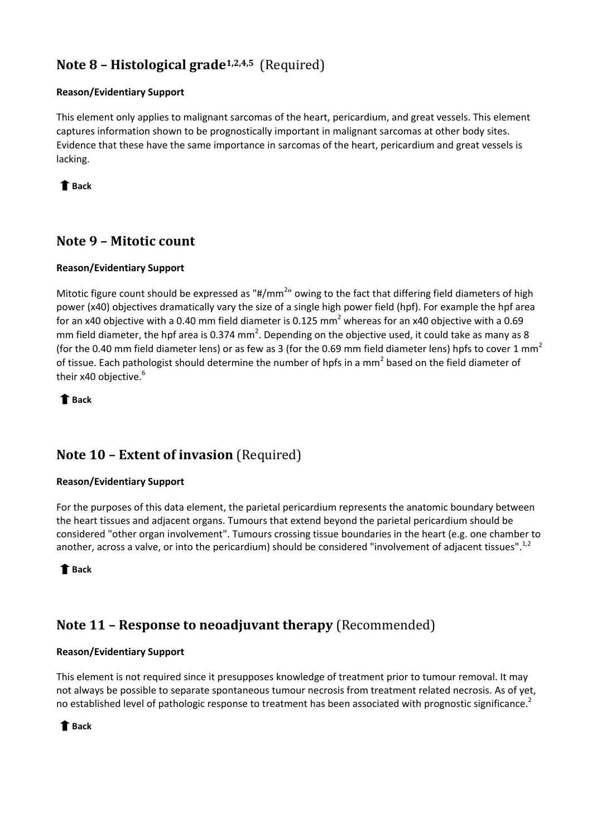## <span id="page-5-0"></span>**Note 8 – Histological grade[1](#page-6-0)[,2,](#page-6-1)[4,](#page-6-3)[5](#page-6-4)** (Required)

### **Reason/Evidentiary Support**

This element only applies to malignant sarcomas of the heart, pericardium, and great vessels. This element captures information shown to be prognostically important in malignant sarcomas at other body sites. Evidence that these have the same importance in sarcomas of the heart, pericardium and great vessels is lacking.

 **[Back](#page-1-0)** 

## **Note 9 – Mitotic count**

### **Reason/Evidentiary Support**

Mitotic figure count should be expressed as "#/mm<sup>2</sup>" owing to the fact that differing field diameters of high power (x40) objectives dramatically vary the size of a single high power field (hpf). For example the hpf area for an x40 objective with a 0.40 mm field diameter is 0.125 mm<sup>2</sup> whereas for an x40 objective with a 0.69 mm field diameter, the hpf area is 0.374 mm<sup>2</sup>. Depending on the objective used, it could take as many as 8 (for the 0.40 mm field diameter lens) or as few as 3 (for the 0.69 mm field diameter lens) hpfs to cover 1 mm<sup>2</sup> of tissue. Each pathologist should determine the number of hpfs in a mm<sup>2</sup> based on the field diameter of their x40 objective[.](#page-6-5)<sup>6</sup>

 **[Back](#page-1-0)** 

## **Note 10 – Extent of invasion** (Required)

### **Reason/Evidentiary Support**

For the purposes of this data element, the parietal pericardium represents the anatomic boundary between the heart tissues and adjacent organs. Tumours that extend beyond the parietal pericardium should be considered "other organ involvement". Tumours crossing tissue boundaries in the heart (e.g. one chamber to another, across a valve, or into the pericardium) should be considered "involvement of adjacent tissues".<sup>[1,](#page-6-0)[2](#page-6-1)</sup>

 **[Back](#page-1-0)** 

## **Note 11 – Response to neoadjuvant therapy** (Recommended)

### **Reason/Evidentiary Support**

This element is not required since it presupposes knowledge of treatment prior to tumour removal. It may not always be possible to separate spontaneous tumour necrosis from treatment related necrosis. As of yet, no established level of pathologic response to treatment has been associated with prognostic significance.<sup>[2](#page-6-1)</sup>